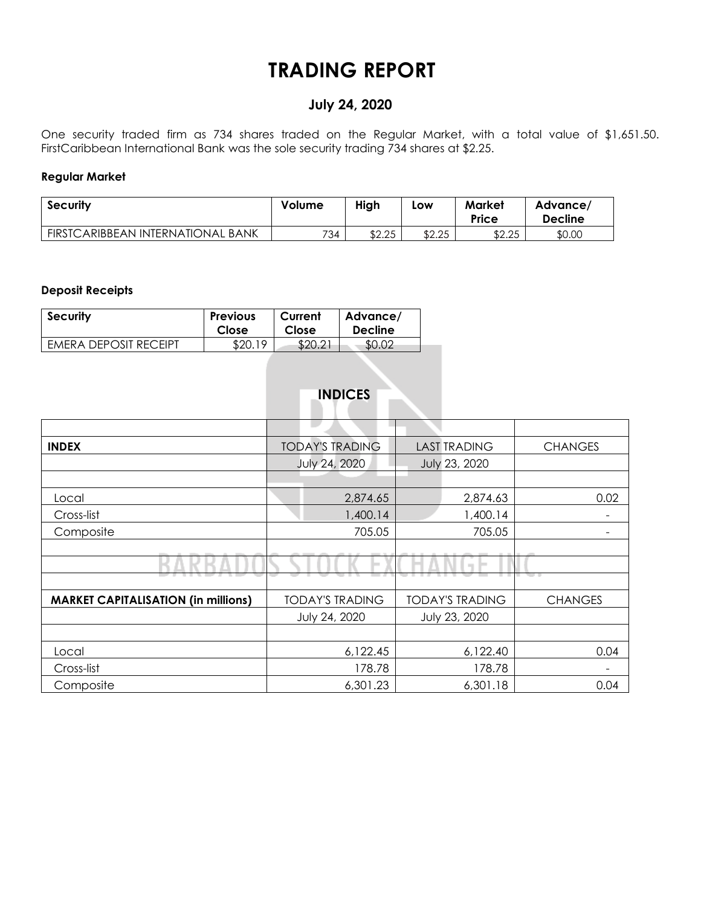# **TRADING REPORT**

# **July 24, 2020**

One security traded firm as 734 shares traded on the Regular Market, with a total value of \$1,651.50. FirstCaribbean International Bank was the sole security trading 734 shares at \$2.25.

#### **Regular Market**

| <b>Security</b>                   | Volume | High   | Low    | <b>Market</b><br>Price | Advance/<br><b>Decline</b> |
|-----------------------------------|--------|--------|--------|------------------------|----------------------------|
| FIRSTCARIBBEAN INTERNATIONAL BANK | 734    | \$2.25 | \$2.25 | \$2.25                 | \$0.00                     |

### **Deposit Receipts**

| <b>Security</b>       | <b>Previous</b> | Current | Advance/       |
|-----------------------|-----------------|---------|----------------|
|                       | Close           | Close   | <b>Decline</b> |
| EMERA DEPOSIT RECEIPT | \$20.19         | \$20.21 |                |

|                                            | <b>INDICES</b>         |                          |                |
|--------------------------------------------|------------------------|--------------------------|----------------|
|                                            | ▁                      |                          |                |
| <b>INDEX</b>                               | <b>TODAY'S TRADING</b> | <b>LAST TRADING</b>      | <b>CHANGES</b> |
|                                            | July 24, 2020          | July 23, 2020            |                |
|                                            |                        |                          |                |
| Local                                      | 2,874.65               | 2,874.63                 | 0.02           |
| Cross-list                                 | 1,400.14               | 1,400.14                 |                |
| Composite                                  | 705.05                 | 705.05                   |                |
|                                            |                        |                          |                |
|                                            |                        | $\overline{\phantom{a}}$ |                |
|                                            |                        |                          |                |
| <b>MARKET CAPITALISATION (in millions)</b> | <b>TODAY'S TRADING</b> | <b>TODAY'S TRADING</b>   | <b>CHANGES</b> |
|                                            | July 24, 2020          | July 23, 2020            |                |
|                                            |                        |                          |                |
| Local                                      | 6,122.45               | 6,122.40                 | 0.04           |
| Cross-list                                 | 178.78                 | 178.78                   |                |
| Composite                                  | 6,301.23               | 6,301.18                 | 0.04           |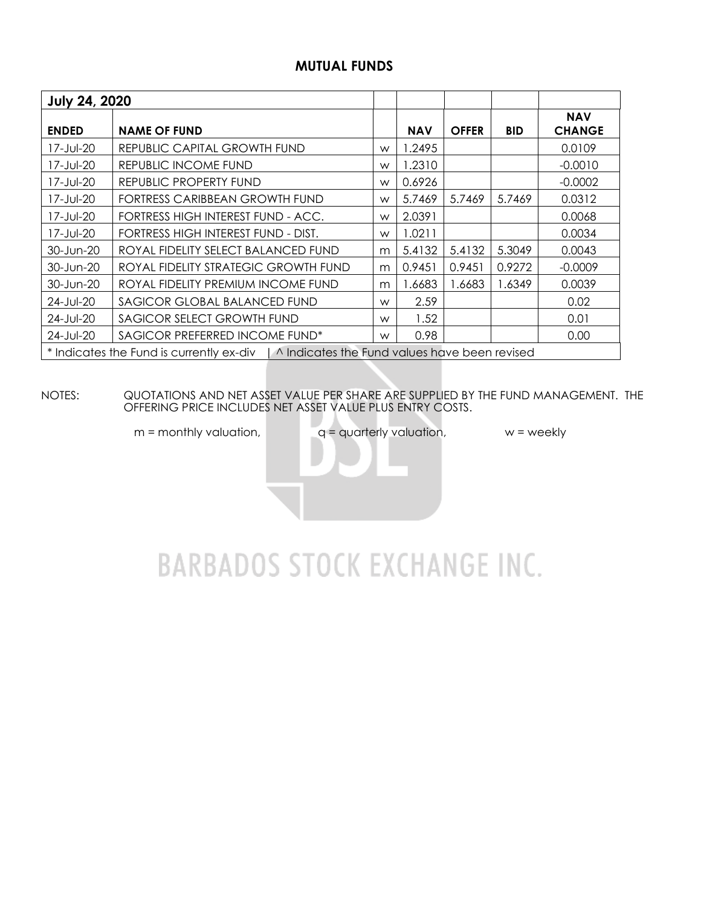## **MUTUAL FUNDS**

| <b>July 24, 2020</b> |                                                                                          |   |            |              |            |                             |
|----------------------|------------------------------------------------------------------------------------------|---|------------|--------------|------------|-----------------------------|
| <b>ENDED</b>         | <b>NAME OF FUND</b>                                                                      |   | <b>NAV</b> | <b>OFFER</b> | <b>BID</b> | <b>NAV</b><br><b>CHANGE</b> |
| 17-Jul-20            | REPUBLIC CAPITAL GROWTH FUND                                                             | W | .2495      |              |            | 0.0109                      |
| 17-Jul-20            | REPUBLIC INCOME FUND                                                                     | W | .2310      |              |            | $-0.0010$                   |
| 17-Jul-20            | REPUBLIC PROPERTY FUND                                                                   | W | 0.6926     |              |            | $-0.0002$                   |
| 17-Jul-20            | FORTRESS CARIBBEAN GROWTH FUND                                                           | W | 5.7469     | 5.7469       | 5.7469     | 0.0312                      |
| 17-Jul-20            | FORTRESS HIGH INTEREST FUND - ACC.                                                       | W | 2.0391     |              |            | 0.0068                      |
| 17-Jul-20            | FORTRESS HIGH INTEREST FUND - DIST.                                                      | W | 1.0211     |              |            | 0.0034                      |
| 30-Jun-20            | ROYAL FIDELITY SELECT BALANCED FUND                                                      | m | 5.4132     | 5.4132       | 5.3049     | 0.0043                      |
| 30-Jun-20            | ROYAL FIDELITY STRATEGIC GROWTH FUND                                                     | m | 0.9451     | 0.9451       | 0.9272     | $-0.0009$                   |
| 30-Jun-20            | ROYAL FIDELITY PREMIUM INCOME FUND                                                       | m | .6683      | 1.6683       | 1.6349     | 0.0039                      |
| 24-Jul-20            | SAGICOR GLOBAL BALANCED FUND                                                             | W | 2.59       |              |            | 0.02                        |
| 24-Jul-20            | SAGICOR SELECT GROWTH FUND                                                               | W | 1.52       |              |            | 0.01                        |
| 24-Jul-20            | SAGICOR PREFERRED INCOME FUND*                                                           | W | 0.98       |              |            | 0.00                        |
|                      | * Indicates the Fund is currently ex-div   ^ Indicates the Fund values have been revised |   |            |              |            |                             |

#### NOTES: QUOTATIONS AND NET ASSET VALUE PER SHARE ARE SUPPLIED BY THE FUND MANAGEMENT. THE OFFERING PRICE INCLUDES NET ASSET VALUE PLUS ENTRY COSTS.

 $m =$  monthly valuation,  $q =$  quarterly valuation,  $w =$  weekly

# **BARBADOS STOCK EXCHANGE INC.**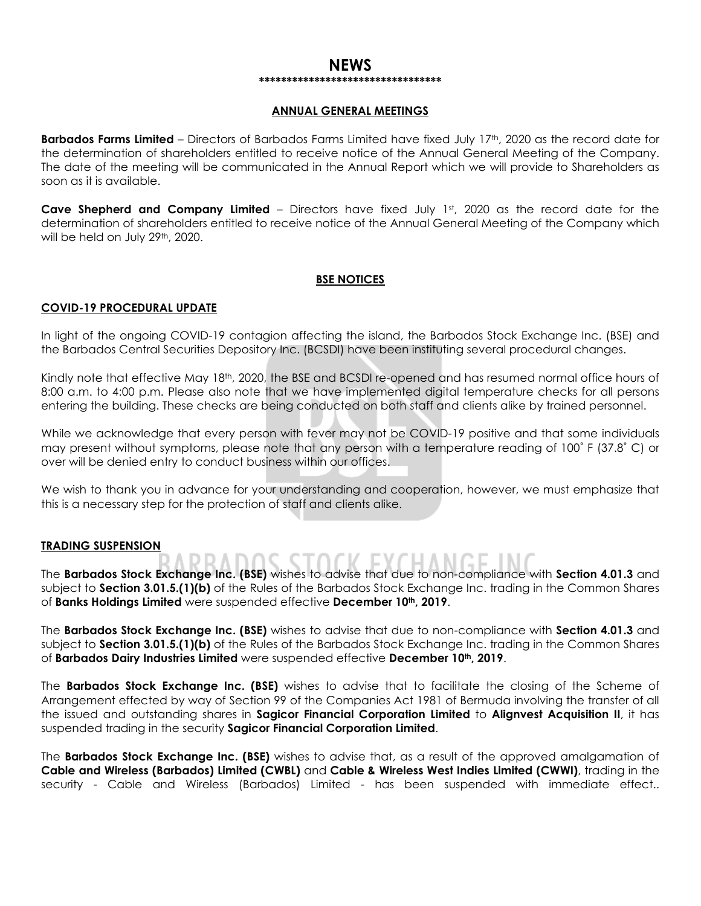#### **NEWS \*\*\*\*\*\*\*\*\*\*\*\*\*\*\*\*\*\*\*\*\*\*\*\*\*\*\*\*\*\*\*\*\***

#### **ANNUAL GENERAL MEETINGS**

**Barbados Farms Limited** – Directors of Barbados Farms Limited have fixed July 17th, 2020 as the record date for the determination of shareholders entitled to receive notice of the Annual General Meeting of the Company. The date of the meeting will be communicated in the Annual Report which we will provide to Shareholders as soon as it is available.

**Cave Shepherd and Company Limited** – Directors have fixed July 1st, 2020 as the record date for the determination of shareholders entitled to receive notice of the Annual General Meeting of the Company which will be held on July 29th, 2020.

#### **BSE NOTICES**

#### **COVID-19 PROCEDURAL UPDATE**

In light of the ongoing COVID-19 contagion affecting the island, the Barbados Stock Exchange Inc. (BSE) and the Barbados Central Securities Depository Inc. (BCSDI) have been instituting several procedural changes.

Kindly note that effective May 18<sup>th</sup>, 2020, the BSE and BCSDI re-opened and has resumed normal office hours of 8:00 a.m. to 4:00 p.m. Please also note that we have implemented digital temperature checks for all persons entering the building. These checks are being conducted on both staff and clients alike by trained personnel.

While we acknowledge that every person with fever may not be COVID-19 positive and that some individuals may present without symptoms, please note that any person with a temperature reading of 100˚ F (37.8˚ C) or over will be denied entry to conduct business within our offices.

We wish to thank you in advance for your understanding and cooperation, however, we must emphasize that this is a necessary step for the protection of staff and clients alike.

#### **TRADING SUSPENSION**

The **Barbados Stock Exchange Inc. (BSE)** wishes to advise that due to non-compliance with **Section 4.01.3** and subject to **Section 3.01.5.(1)(b)** of the Rules of the Barbados Stock Exchange Inc. trading in the Common Shares of **Banks Holdings Limited** were suspended effective **December 10th, 2019**.

The **Barbados Stock Exchange Inc. (BSE)** wishes to advise that due to non-compliance with **Section 4.01.3** and subject to **Section 3.01.5.(1)(b)** of the Rules of the Barbados Stock Exchange Inc. trading in the Common Shares of **Barbados Dairy Industries Limited** were suspended effective **December 10th, 2019**.

The **Barbados Stock Exchange Inc. (BSE)** wishes to advise that to facilitate the closing of the Scheme of Arrangement effected by way of Section 99 of the Companies Act 1981 of Bermuda involving the transfer of all the issued and outstanding shares in **Sagicor Financial Corporation Limited** to **Alignvest Acquisition II**, it has suspended trading in the security **Sagicor Financial Corporation Limited**.

The **Barbados Stock Exchange Inc. (BSE)** wishes to advise that, as a result of the approved amalgamation of **Cable and Wireless (Barbados) Limited (CWBL)** and **Cable & Wireless West Indies Limited (CWWI)**, trading in the security - Cable and Wireless (Barbados) Limited - has been suspended with immediate effect..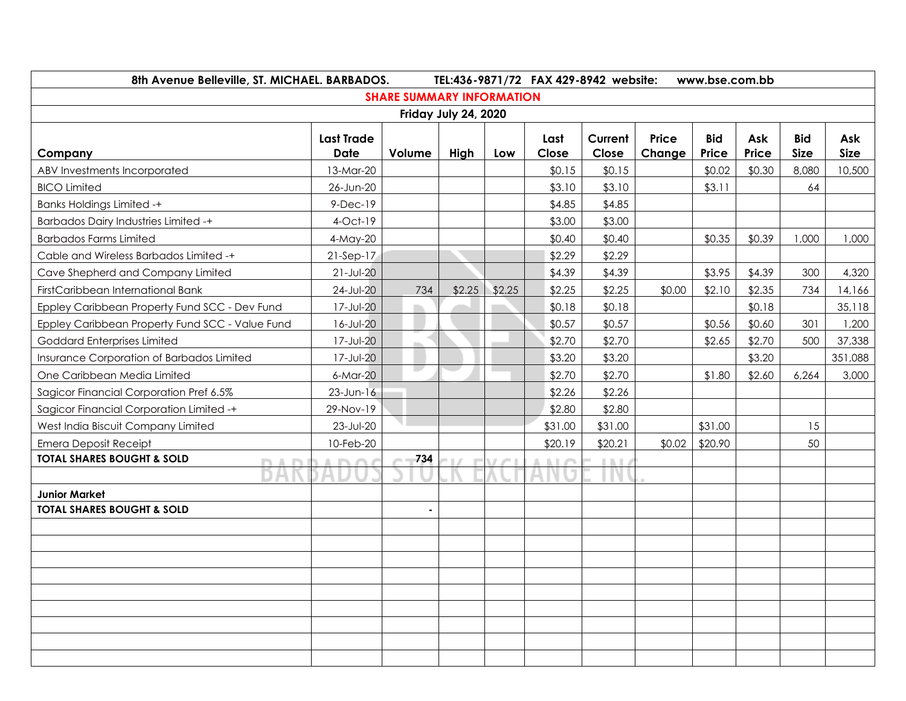|                                                                                       | 8th Avenue Belleville, ST. MICHAEL. BARBADOS.<br>TEL:436-9871/72 FAX 429-8942 website:<br>www.bse.com.bb |                                  |        |        |                  |                  |        |                  |                  |             |                   |
|---------------------------------------------------------------------------------------|----------------------------------------------------------------------------------------------------------|----------------------------------|--------|--------|------------------|------------------|--------|------------------|------------------|-------------|-------------------|
|                                                                                       |                                                                                                          | <b>SHARE SUMMARY INFORMATION</b> |        |        |                  |                  |        |                  |                  |             |                   |
| Friday July 24, 2020                                                                  |                                                                                                          |                                  |        |        |                  |                  |        |                  |                  |             |                   |
|                                                                                       | <b>Last Trade</b>                                                                                        |                                  |        |        | Last             | Current          | Price  | <b>Bid</b>       | Ask              | <b>Bid</b>  | Ask               |
| Company                                                                               | Date                                                                                                     | Volume                           | High   | Low    | Close            | Close            | Change | <b>Price</b>     | <b>Price</b>     | <b>Size</b> | <b>Size</b>       |
| ABV Investments Incorporated                                                          | 13-Mar-20                                                                                                |                                  |        |        | \$0.15           | \$0.15           |        | \$0.02           | \$0.30           | 8,080       | 10,500            |
| <b>BICO Limited</b>                                                                   | 26-Jun-20                                                                                                |                                  |        |        | \$3.10           | \$3.10<br>\$4.85 |        | \$3.11           |                  | 64          |                   |
| <b>Banks Holdings Limited -+</b>                                                      | $9-Dec-19$                                                                                               |                                  |        |        | \$4.85           |                  |        |                  |                  |             |                   |
| <b>Barbados Dairy Industries Limited -+</b>                                           | $4$ -Oct-19                                                                                              |                                  |        |        | \$3.00           | \$3.00           |        |                  |                  |             |                   |
| <b>Barbados Farms Limited</b>                                                         | 4-May-20                                                                                                 |                                  |        |        | \$0.40           | \$0.40           |        | \$0.35           | \$0.39           | 1,000       | 1,000             |
| Cable and Wireless Barbados Limited -+                                                | $21-Sep-17$                                                                                              |                                  |        |        | \$2.29           | \$2.29           |        |                  |                  |             |                   |
| Cave Shepherd and Company Limited<br>FirstCaribbean International Bank                | $21 - JUI - 20$<br>$24$ -Jul-20                                                                          | 734                              | \$2.25 | \$2.25 | \$4.39           | \$4.39           | \$0.00 | \$3.95<br>\$2.10 | \$4.39           | 300         | 4,320             |
|                                                                                       | 17-Jul-20                                                                                                |                                  |        |        | \$2.25           | \$2.25           |        |                  | \$2.35<br>\$0.18 | 734         | 14,166<br>35,118  |
| Eppley Caribbean Property Fund SCC - Dev Fund                                         | 16-Jul-20                                                                                                | m.                               |        |        | \$0.18<br>\$0.57 | \$0.18<br>\$0.57 |        | \$0.56           | \$0.60           |             | 1,200             |
| Eppley Caribbean Property Fund SCC - Value Fund<br><b>Goddard Enterprises Limited</b> | 17-Jul-20                                                                                                |                                  |        |        | \$2.70           | \$2.70           |        | \$2.65           |                  | 301<br>500  |                   |
| Insurance Corporation of Barbados Limited                                             | 17-Jul-20                                                                                                |                                  |        |        | \$3.20           | \$3.20           |        |                  | \$2.70<br>\$3.20 |             | 37,338<br>351,088 |
| One Caribbean Media Limited                                                           | $6-Mar-20$                                                                                               | L.                               |        |        | \$2.70           | \$2.70           |        | \$1.80           | \$2.60           | 6,264       | 3,000             |
| Sagicor Financial Corporation Pref 6.5%                                               | $23$ -Jun-16                                                                                             |                                  |        |        | \$2.26           | \$2.26           |        |                  |                  |             |                   |
| Sagicor Financial Corporation Limited -+                                              | 29-Nov-19                                                                                                |                                  |        |        | \$2.80           | \$2.80           |        |                  |                  |             |                   |
| West India Biscuit Company Limited                                                    | 23-Jul-20                                                                                                |                                  |        |        | \$31.00          | \$31.00          |        | \$31.00          |                  | 15          |                   |
| <b>Emera Deposit Receipt</b>                                                          | 10-Feb-20                                                                                                |                                  |        |        | \$20.19          | \$20.21          | \$0.02 | \$20.90          |                  | 50          |                   |
| <b>TOTAL SHARES BOUGHT &amp; SOLD</b><br>m.                                           | <b>DES</b>                                                                                               | 734                              |        |        | <b>ALC</b>       | 1117             |        |                  |                  |             |                   |
|                                                                                       |                                                                                                          |                                  |        |        |                  |                  |        |                  |                  |             |                   |
| <b>Junior Market</b>                                                                  |                                                                                                          |                                  |        |        |                  |                  |        |                  |                  |             |                   |
| <b>TOTAL SHARES BOUGHT &amp; SOLD</b>                                                 |                                                                                                          | $\blacksquare$                   |        |        |                  |                  |        |                  |                  |             |                   |
|                                                                                       |                                                                                                          |                                  |        |        |                  |                  |        |                  |                  |             |                   |
|                                                                                       |                                                                                                          |                                  |        |        |                  |                  |        |                  |                  |             |                   |
|                                                                                       |                                                                                                          |                                  |        |        |                  |                  |        |                  |                  |             |                   |
|                                                                                       |                                                                                                          |                                  |        |        |                  |                  |        |                  |                  |             |                   |
|                                                                                       |                                                                                                          |                                  |        |        |                  |                  |        |                  |                  |             |                   |
|                                                                                       |                                                                                                          |                                  |        |        |                  |                  |        |                  |                  |             |                   |
|                                                                                       |                                                                                                          |                                  |        |        |                  |                  |        |                  |                  |             |                   |
|                                                                                       |                                                                                                          |                                  |        |        |                  |                  |        |                  |                  |             |                   |
|                                                                                       |                                                                                                          |                                  |        |        |                  |                  |        |                  |                  |             |                   |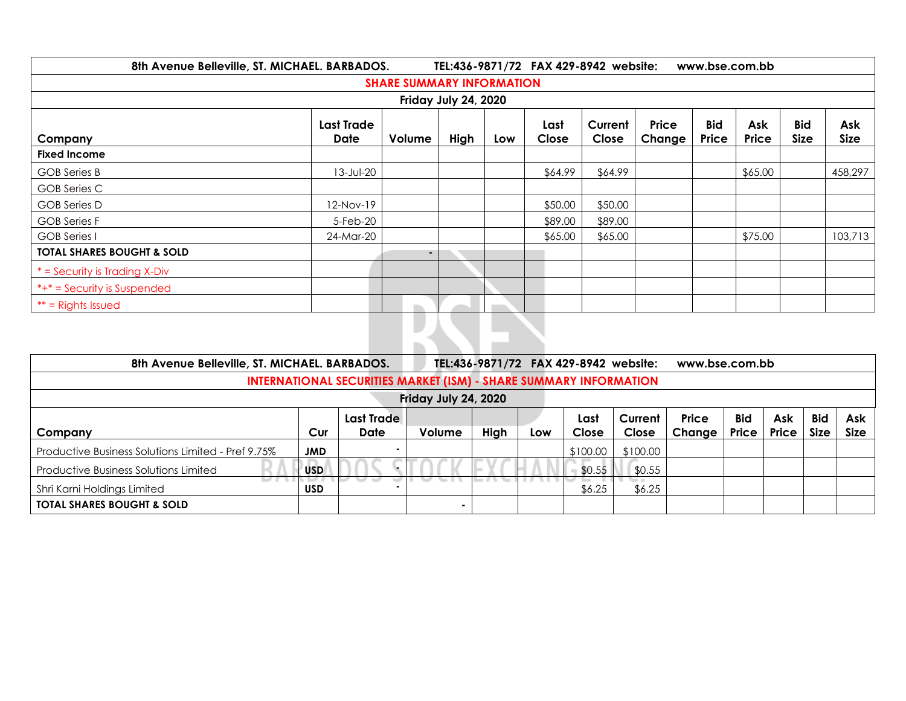| 8th Avenue Belleville, ST. MICHAEL. BARBADOS. |                           |                                  |      |     | TEL:436-9871/72 FAX 429-8942 website: |                  |                 | www.bse.com.bb      |                     |                           |                    |  |
|-----------------------------------------------|---------------------------|----------------------------------|------|-----|---------------------------------------|------------------|-----------------|---------------------|---------------------|---------------------------|--------------------|--|
|                                               |                           | <b>SHARE SUMMARY INFORMATION</b> |      |     |                                       |                  |                 |                     |                     |                           |                    |  |
| Friday July 24, 2020                          |                           |                                  |      |     |                                       |                  |                 |                     |                     |                           |                    |  |
| Company                                       | <b>Last Trade</b><br>Date | Volume                           | High | Low | Last<br>Close                         | Current<br>Close | Price<br>Change | <b>Bid</b><br>Price | Ask<br><b>Price</b> | <b>Bid</b><br><b>Size</b> | Ask<br><b>Size</b> |  |
| <b>Fixed Income</b>                           |                           |                                  |      |     |                                       |                  |                 |                     |                     |                           |                    |  |
| GOB Series B                                  | 13-Jul-20                 |                                  |      |     | \$64.99                               | \$64.99          |                 |                     | \$65.00             |                           | 458,297            |  |
| <b>GOB</b> Series C                           |                           |                                  |      |     |                                       |                  |                 |                     |                     |                           |                    |  |
| <b>GOB</b> Series D                           | 12-Nov-19                 |                                  |      |     | \$50.00                               | \$50.00          |                 |                     |                     |                           |                    |  |
| <b>GOB Series F</b>                           | 5-Feb-20                  |                                  |      |     | \$89.00                               | \$89.00          |                 |                     |                     |                           |                    |  |
| GOB Series I                                  | 24-Mar-20                 |                                  |      |     | \$65.00                               | \$65.00          |                 |                     | \$75.00             |                           | 103,713            |  |
| <b>TOTAL SHARES BOUGHT &amp; SOLD</b>         |                           | ٠                                |      |     |                                       |                  |                 |                     |                     |                           |                    |  |
| $*$ = Security is Trading X-Div               |                           |                                  |      |     |                                       |                  |                 |                     |                     |                           |                    |  |
| $*+* =$ Security is Suspended                 |                           |                                  |      |     |                                       |                  |                 |                     |                     |                           |                    |  |
| $**$ = Rights Issued                          |                           |                                  |      |     |                                       |                  |                 |                     |                     |                           |                    |  |
|                                               |                           |                                  |      |     |                                       |                  |                 |                     |                     |                           |                    |  |

| TEL:436-9871/72 FAX 429-8942 website:<br>8th Avenue Belleville, ST. MICHAEL. BARBADOS.<br>www.bse.com.bb |            |                   |                      |      |     |          |          |              |            |              |             |             |
|----------------------------------------------------------------------------------------------------------|------------|-------------------|----------------------|------|-----|----------|----------|--------------|------------|--------------|-------------|-------------|
| <b>INTERNATIONAL SECURITIES MARKET (ISM) - SHARE SUMMARY INFORMATION</b>                                 |            |                   |                      |      |     |          |          |              |            |              |             |             |
|                                                                                                          |            |                   | Friday July 24, 2020 |      |     |          |          |              |            |              |             |             |
|                                                                                                          |            | <b>Last Trade</b> |                      |      |     | Last     | Current  | <b>Price</b> | <b>Bid</b> | Ask          | <b>Bid</b>  | Ask         |
| Company                                                                                                  | Cur        | Date              | Volume               | High | Low | Close    | Close    | Change       | Price      | <b>Price</b> | <b>Size</b> | <b>Size</b> |
| Productive Business Solutions Limited - Pref 9.75%                                                       | <b>JMD</b> |                   |                      |      |     | \$100.00 | \$100.00 |              |            |              |             |             |
| <b>Productive Business Solutions Limited</b>                                                             | <b>USD</b> |                   |                      |      |     | \$0.55   | \$0.55   |              |            |              |             |             |
| Shri Karni Holdings Limited                                                                              | <b>USD</b> |                   |                      |      |     | \$6.25   | \$6.25   |              |            |              |             |             |
| <b>TOTAL SHARES BOUGHT &amp; SOLD</b>                                                                    |            |                   |                      |      |     |          |          |              |            |              |             |             |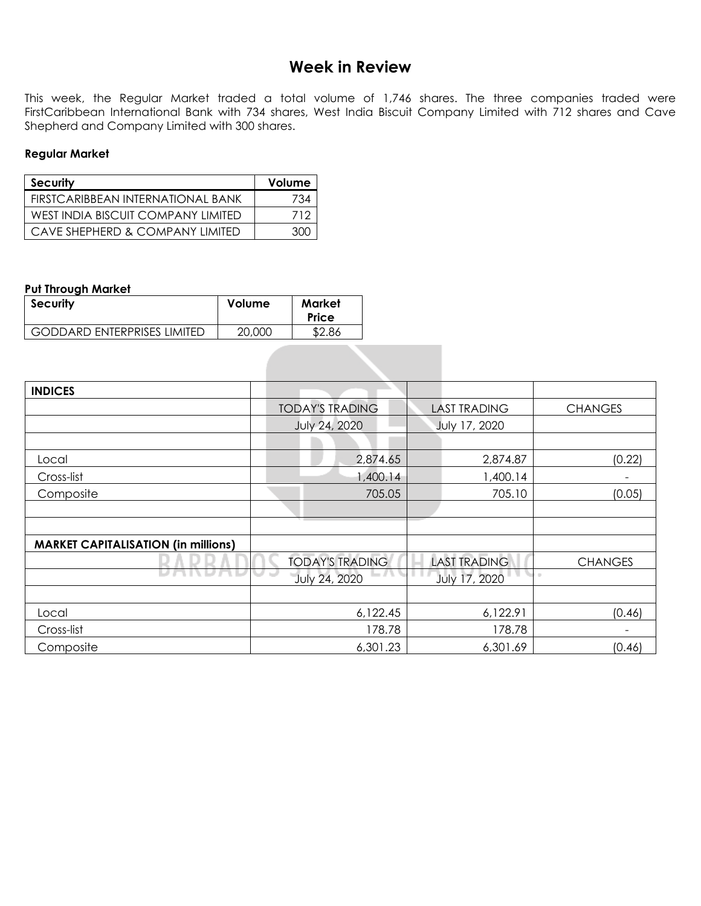# **Week in Review**

This week, the Regular Market traded a total volume of 1,746 shares. The three companies traded were FirstCaribbean International Bank with 734 shares, West India Biscuit Company Limited with 712 shares and Cave Shepherd and Company Limited with 300 shares.

#### **Regular Market**

| Security                           | Volume |
|------------------------------------|--------|
| FIRSTCARIBBEAN INTERNATIONAL BANK  | 734    |
| WEST INDIA BISCUIT COMPANY LIMITED | 712    |
| CAVE SHEPHERD & COMPANY I IMITED   | חר     |

#### **Put Through Market**

| <b>Security</b>                    | <b>Volume</b> | Market<br>Price |
|------------------------------------|---------------|-----------------|
| <b>GODDARD ENTERPRISES LIMITED</b> | 20,000        | \$2.86          |

| <b>INDICES</b>                             |                        |                     |                |
|--------------------------------------------|------------------------|---------------------|----------------|
|                                            | <b>TODAY'S TRADING</b> | <b>LAST TRADING</b> | <b>CHANGES</b> |
|                                            | July 24, 2020          | July 17, 2020       |                |
|                                            |                        |                     |                |
| Local                                      | 2,874.65               | 2,874.87            | (0.22)         |
| Cross-list                                 | 1,400.14               | 1,400.14            |                |
| Composite                                  | 705.05                 | 705.10              | (0.05)         |
|                                            |                        |                     |                |
|                                            |                        |                     |                |
| <b>MARKET CAPITALISATION (in millions)</b> |                        |                     |                |
|                                            | <b>TODAY'S TRADING</b> | <b>LAST TRADING</b> | <b>CHANGES</b> |
|                                            | July 24, 2020          | July 17, 2020       | $\sim$         |
|                                            |                        |                     |                |
| Local                                      | 6,122.45               | 6,122.91            | (0.46)         |
| Cross-list                                 | 178.78                 | 178.78              |                |
| Composite                                  | 6,301.23               | 6,301.69            | (0.46)         |